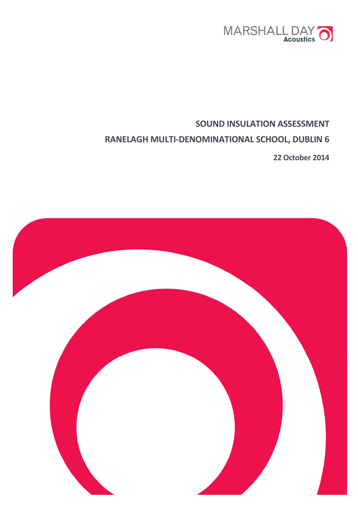

# **SOUND INSULATION ASSESSMENT RANELAGH MULTI-DENOMINATIONAL SCHOOL, DUBLIN 6**

**22 October 2014**

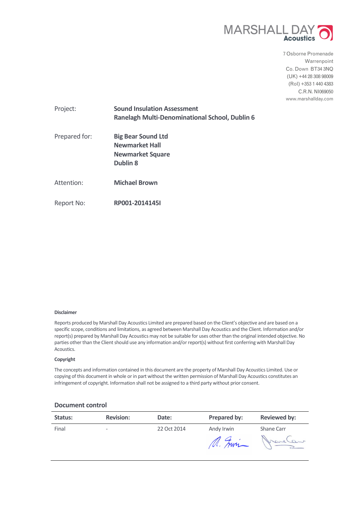

7 Osborne Promenade Warrenpoint Co. Down BT34 3NQ (UK) +44 28 308 98009 (RoI) +353 1 440 4383 C.R.N. NI069050 www.marshallday.com

| Project:      | <b>Sound Insulation Assessment</b><br><b>Ranelagh Multi-Denominational School, Dublin 6</b>      |
|---------------|--------------------------------------------------------------------------------------------------|
| Prepared for: | <b>Big Bear Sound Ltd</b><br><b>Newmarket Hall</b><br><b>Newmarket Square</b><br><b>Dublin 8</b> |
| Attention:    | <b>Michael Brown</b>                                                                             |
| Report No:    | RP001-2014145I                                                                                   |

#### **Disclaimer**

Reports produced by Marshall Day Acoustics Limited are prepared based on the Client's objective and are based on a specific scope, conditions and limitations, as agreed between Marshall Day Acoustics and the Client. Information and/or report(s) prepared by Marshall Day Acoustics may not be suitable for uses other than the original intended objective. No parties other than the Client should use any information and/or report(s) without first conferring with Marshall Day Acoustics.

#### **Copyright**

The concepts and information contained in this document are the property of Marshall Day Acoustics Limited. Use or copying of this document in whole or in part without the written permission of Marshall Day Acoustics constitutes an infringement of copyright. Information shall not be assigned to a third party without prior consent.

#### **Document control**

| Status: | <b>Revision:</b>             | Date:       | Prepared by:         | <b>Reviewed by:</b>   |
|---------|------------------------------|-------------|----------------------|-----------------------|
| Final   | $\qquad \qquad \blacksquare$ | 22 Oct 2014 | Andy Irwin<br>M. Fwi | Shane Carr<br>Marchan |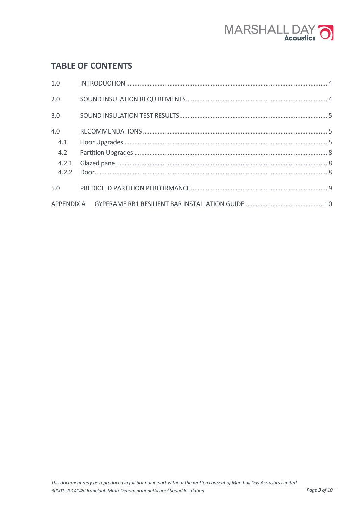

# **TABLE OF CONTENTS**

| 2.0 |  |
|-----|--|
| 3.0 |  |
| 4.0 |  |
| 4.1 |  |
| 4.2 |  |
|     |  |
|     |  |
| 5.0 |  |
|     |  |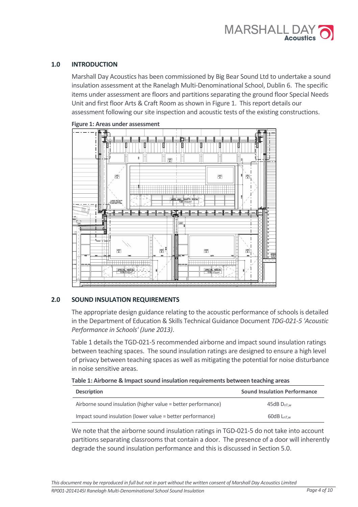# **1.0 INTRODUCTION**

Marshall Day Acoustics has been commissioned by Big Bear Sound Ltd to undertake a sound insulation assessment at the Ranelagh Multi-Denominational School, Dublin 6. The specific items under assessment are floors and partitions separating the ground floor Special Needs Unit and first floor Arts & Craft Room as shown in Figure 1. This report details our assessment following our site inspection and acoustic tests of the existing constructions.





# **2.0 SOUND INSULATION REQUIREMENTS**

The appropriate design guidance relating to the acoustic performance of schools is detailed in the Department of Education & Skills Technical Guidance Document *TDG-021-5 'Acoustic Performance in Schools' (June 2013)*.

Table 1 details the TGD-021-5 recommended airborne and impact sound insulation ratings between teaching spaces. The sound insulation ratings are designed to ensure a high level of privacy between teaching spaces as well as mitigating the potential for noise disturbance in noise sensitive areas.

|  |  |  | Table 1: Airborne & Impact sound insulation requirements between teaching areas |  |
|--|--|--|---------------------------------------------------------------------------------|--|
|--|--|--|---------------------------------------------------------------------------------|--|

| <b>Description</b>                                            | <b>Sound Insulation Performance</b> |
|---------------------------------------------------------------|-------------------------------------|
| Airborne sound insulation (higher value = better performance) | $45dB$ D <sub>nT.w</sub>            |
| Impact sound insulation (lower value = better performance)    | $60dB$ Lnt.w                        |

We note that the airborne sound insulation ratings in TGD-021-5 do not take into account partitions separating classrooms that contain a door. The presence of a door will inherently degrade the sound insulation performance and this is discussed in Section 5.0.

*RP001-2014145I Ranelagh Multi-Denominational School Sound Insulation Page 4 of 10*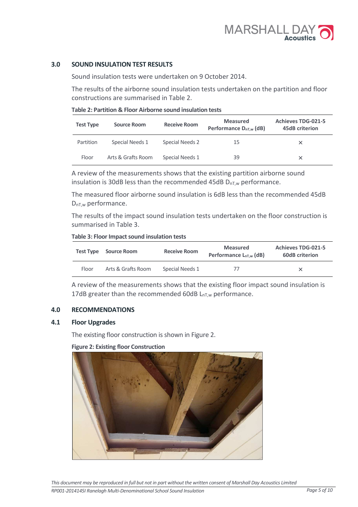# **3.0 SOUND INSULATION TEST RESULTS**

Sound insulation tests were undertaken on 9 October 2014.

The results of the airborne sound insulation tests undertaken on the partition and floor constructions are summarised in Table 2.

| Table 2: Partition & Floor Airborne sound insulation tests |
|------------------------------------------------------------|
|------------------------------------------------------------|

| <b>Test Type</b> | <b>Receive Room</b><br>Source Room |                 | <b>Measured</b><br>Performance D <sub>nT,w</sub> (dB) | <b>Achieves TDG-021-5</b><br>45dB criterion |
|------------------|------------------------------------|-----------------|-------------------------------------------------------|---------------------------------------------|
| Partition        | Special Needs 1                    | Special Needs 2 | 15                                                    | x                                           |
| Floor            | Arts & Grafts Room                 | Special Needs 1 | 39                                                    | x                                           |

A review of the measurements shows that the existing partition airborne sound insulation is 30dB less than the recommended 45dB  $D_{nT,w}$  performance.

The measured floor airborne sound insulation is 6dB less than the recommended 45dB DnT,w performance.

The results of the impact sound insulation tests undertaken on the floor construction is summarised in Table 3.

#### **Table 3: Floor Impact sound insulation tests**

|       | <b>Test Type</b> Source Room | <b>Receive Room</b> | Measured<br>Performance $L_{nT,w}$ (dB) | <b>Achieves TDG-021-5</b><br><b>60dB</b> criterion |
|-------|------------------------------|---------------------|-----------------------------------------|----------------------------------------------------|
| Floor | Arts & Grafts Room           | Special Needs 1     | 77                                      | ×                                                  |

A review of the measurements shows that the existing floor impact sound insulation is 17dB greater than the recommended 60dB  $L_{nT,w}$  performance.

# **4.0 RECOMMENDATIONS**

# **4.1 Floor Upgrades**

The existing floor construction is shown in Figure 2.

**Figure 2: Existing floor Construction** 

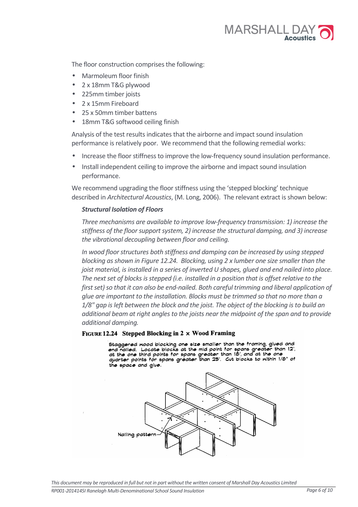

The floor construction comprises the following:

- Marmoleum floor finish
- 2 x 18mm T&G plywood
- 225mm timber joists
- 2 x 15mm Fireboard
- 25 x 50mm timber battens
- 18mm T&G softwood ceiling finish

Analysis of the test results indicates that the airborne and impact sound insulation performance is relatively poor. We recommend that the following remedial works:

- Increase the floor stiffness to improve the low-frequency sound insulation performance.
- Install independent ceiling to improve the airborne and impact sound insulation performance.

We recommend upgrading the floor stiffness using the 'stepped blocking' technique described in *Architectural Acoustics*, (M. Long, 2006). The relevant extract is shown below:

# *Structural Isolation of Floors*

*Three mechanisms are available to improve low-frequency transmission: 1) increase the stiffness of the floor support system, 2) increase the structural damping, and 3) increase the vibrational decoupling between floor and ceiling.* 

*In wood floor structures both stiffness and damping can be increased by using stepped blocking as shown in Figure 12.24. Blocking, using 2 x lumber one size smaller than the joist material, is installed in a series of inverted U shapes, glued and end nailed into place. The next set of blocks is stepped (i.e. installed in a position that is offset relative to the first set) so that it can also be end-nailed. Both careful trimming and liberal application of glue are important to the installation. Blocks must be trimmed so that no more than a 1/8" gap is left between the block and the joist. The object of the blocking is to build an additional beam at right angles to the joists near the midpoint of the span and to provide additional damping.* 

# FIGURE 12.24 Stepped Blocking in 2 x Wood Framing

Staggered nood blocking one size smaller than the framing, glued and end nailed. Locate blocks at the mid point for spans greater than 12', at the one third points for spans greater than 18', and at the one quarter points for spans greater than 25'. Cut blocks to mithin 1/8" of the space and glue.

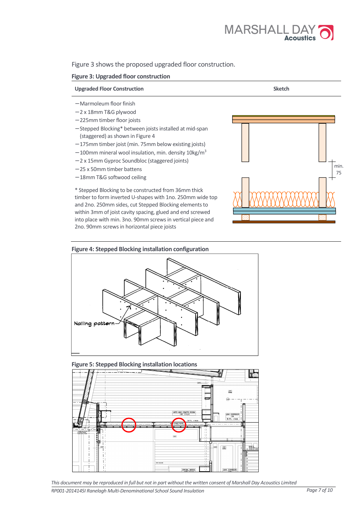

Figure 3 shows the proposed upgraded floor construction.

### **Figure 3: Upgraded floor construction**



### **Figure 4: Stepped Blocking installation configuration**







*This document may be reproduced in full but not in part without the written consent of Marshall Day Acoustics Limited* 

*RP001-2014145I Ranelagh Multi-Denominational School Sound Insulation Page 7 of 10*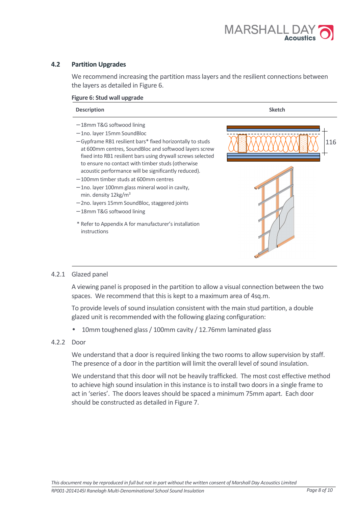

# **4.2 Partition Upgrades**

We recommend increasing the partition mass layers and the resilient connections between the layers as detailed in Figure 6.

### **Figure 6: Stud wall upgrade**



# 4.2.1 Glazed panel

A viewing panel is proposed in the partition to allow a visual connection between the two spaces. We recommend that this is kept to a maximum area of 4sq.m.

To provide levels of sound insulation consistent with the main stud partition, a double glazed unit is recommended with the following glazing configuration:

• 10mm toughened glass / 100mm cavity / 12.76mm laminated glass

# 4.2.2 Door

We understand that a door is required linking the two rooms to allow supervision by staff. The presence of a door in the partition will limit the overall level of sound insulation.

We understand that this door will not be heavily trafficked. The most cost effective method to achieve high sound insulation in this instance is to install two doors in a single frame to act in 'series'. The doors leaves should be spaced a minimum 75mm apart. Each door should be constructed as detailed in Figure 7.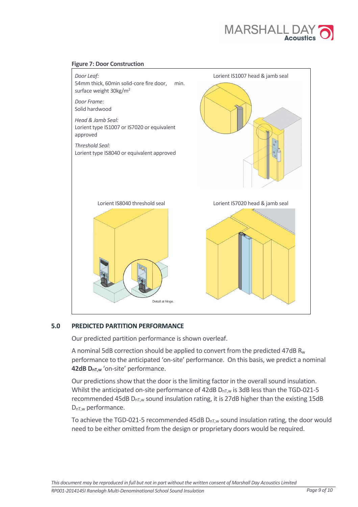



# **5.0 PREDICTED PARTITION PERFORMANCE**

Our predicted partition performance is shown overleaf.

A nominal 5dB correction should be applied to convert from the predicted 47dB R<sub>w</sub> performance to the anticipated 'on-site' performance. On this basis, we predict a nominal **42dB DnT,w** 'on-site' performance.

Our predictions show that the door is the limiting factor in the overall sound insulation. Whilst the anticipated on-site performance of 42dB  $D_{nT,w}$  is 3dB less than the TGD-021-5 recommended 45dB  $D_{nTw}$  sound insulation rating, it is 27dB higher than the existing 15dB  $D_{nT,w}$  performance.

To achieve the TGD-021-5 recommended 45dB  $D_{nTw}$  sound insulation rating, the door would need to be either omitted from the design or proprietary doors would be required.

*This document may be reproduced in full but not in part without the written consent of Marshall Day Acoustics Limited* 

*RP001-2014145I Ranelagh Multi-Denominational School Sound Insulation Page 9 of 10*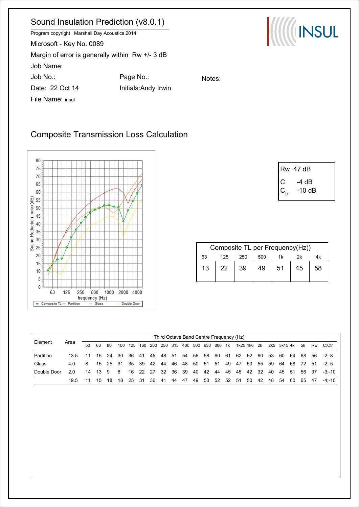# Sound Insulation Prediction (v8.0.1)

Program copyright Marshall Day Acoustics 2014 Microsoft - Key No. 0089 Margin of error is generally within Rw +/- 3 dB Job Name: Job No.: Page No.: Date: 22 Oct 14 Initials:Andy Irwin File Name: insul

**ANGELIE** 

# Composite Transmission Loss Calculation



|                | <b>Rw</b> 47 dB |
|----------------|-----------------|
| $\overline{C}$ | -4 dB           |
| $ C_{tr}$      | -10 dB          |

| Composite TL per Frequency(Hz)) |     |     |     |    |    |    |  |  |  |  |  |
|---------------------------------|-----|-----|-----|----|----|----|--|--|--|--|--|
| 63                              | 125 | 250 | 500 | 2k |    |    |  |  |  |  |  |
| 13                              | 22. | 39  | 49  | 51 | 45 | 58 |  |  |  |  |  |

|             | Third Octave Band Centre Frequency (Hz) |              |     |      |     |     |     |     |          |     |      |     |       |      |     |      |          |     |     |             |    |       |      |             |
|-------------|-----------------------------------------|--------------|-----|------|-----|-----|-----|-----|----------|-----|------|-----|-------|------|-----|------|----------|-----|-----|-------------|----|-------|------|-------------|
| Element     | Area                                    | $50^{\circ}$ | 63  | 80   | 100 | 125 | 160 | 200 | 250      | 315 | 400  | 500 | 630   | 800  | 1k  |      | 1k25 1k6 | 2k  |     | 2k5 3k15 4k |    |       |      | 5k Rw C:Ctr |
| Partition   | 13.5                                    | 11           | 15  | - 24 | 30  | -36 | 41  |     | 45 48 51 |     | - 54 | 56  | -58   | -60  | 61  | 62   | 62       | 60  | 53  | 60          | 64 | 68    | - 56 | -2:-8       |
| Glass       | 4 O                                     | 8            | 15  | - 25 | -31 | -35 | 39  | 42  | -44      | 46  | 48   | 50  | 51 51 |      | 49  | 47   | 50       | 55  | -59 | 64          | 68 | 72    | - 51 | $-2 - 5$    |
| Double Door | 20                                      | 14           | -13 | - 9  | -8  | 16  | -22 | -27 | -32      | 36  | -39  | 40  | - 42  | -44  | 45  | - 45 | 42       | -32 | 40  | 45 51       |    | 56 37 |      | $-3: -10$   |
|             | 19.5                                    |              | 15  | 18   | 18  | 25  | -31 | 36  | -41      | 44  | 47   | 49  | 50    | - 52 | -52 | -51  | 50       | 42  | 48  | 54          | 60 | 65    | 47   | $-4 - 10$   |

Notes: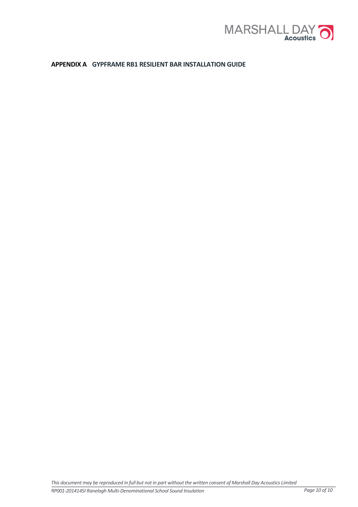

# **APPENDIX A GYPFRAME RB1 RESILIENT BAR INSTALLATION GUIDE**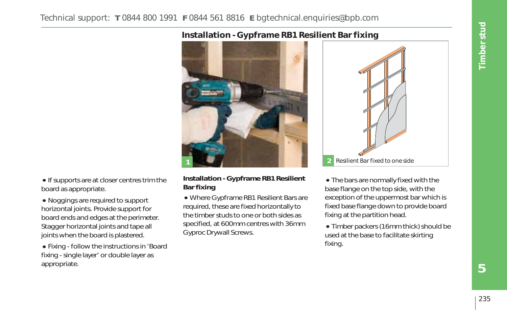#### Technical support: **T** 0844 800 1991 **F** 0844 561 8816 **E** bgtechnical.enquiries@bpb.com

#### **Installation - Gypframe RB1 Resilient Bar fixing**



• If supports are at closer centres trim the board as appropriate.

• Noggings are required to support horizontal joints. Provide support for board ends and edges at the perimeter. Stagger horizontal joints and tape all joints when the board is plastered.

• Fixing - follow the instructions in 'Board fixing - single layer' or double layer as appropriate.

#### **Installation - Gypframe RB1 Resilient Bar fixing**

• Where Gypframe RB1 Resilient Bars are required, these are fixed horizontally to the timber studs to one or both sides as specified, at 600mm centres with 36mm Gyproc Drywall Screws.



• The bars are normally fixed with the base flange on the top side, with the exception of the uppermost bar which is fixed base flange down to provide board fixing at the partition head.

• Timber packers (16mm thick) should be used at the base to facilitate skirting fixing.